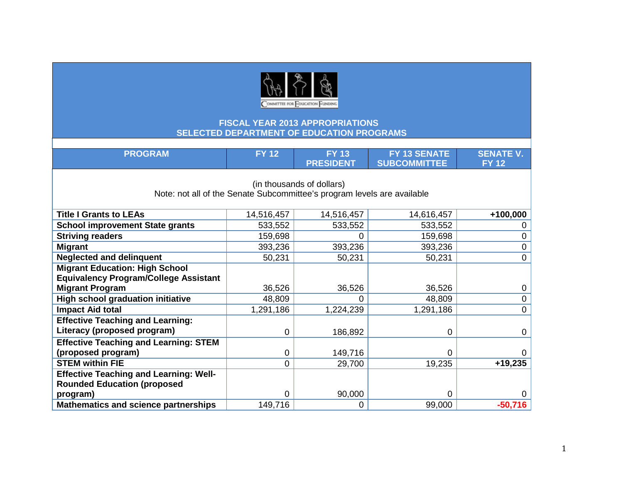

| <b>PROGRAM</b>                                                                                       | <b>FY 12</b> | <b>FY 13</b><br><b>PRESIDENT</b> | FY 13 SENATE<br><b>SUBCOMMITTEE</b> | <b>SENATE V.</b><br><b>FY 12</b> |  |
|------------------------------------------------------------------------------------------------------|--------------|----------------------------------|-------------------------------------|----------------------------------|--|
| (in thousands of dollars)<br>Note: not all of the Senate Subcommittee's program levels are available |              |                                  |                                     |                                  |  |
| <b>Title I Grants to LEAs</b>                                                                        | 14,516,457   | 14,516,457                       | 14,616,457                          | +100,000                         |  |
| <b>School improvement State grants</b>                                                               | 533,552      | 533,552                          | 533,552                             |                                  |  |
| <b>Striving readers</b>                                                                              | 159,698      | 0                                | 159,698                             | 0                                |  |
| <b>Migrant</b>                                                                                       | 393,236      | 393,236                          | 393,236                             | 0                                |  |
| <b>Neglected and delinquent</b>                                                                      | 50,231       | 50,231                           | 50,231                              | 0                                |  |
| <b>Migrant Education: High School</b>                                                                |              |                                  |                                     |                                  |  |
| <b>Equivalency Program/College Assistant</b>                                                         |              |                                  |                                     |                                  |  |
| <b>Migrant Program</b>                                                                               | 36,526       | 36,526                           | 36,526                              |                                  |  |
| <b>High school graduation initiative</b>                                                             | 48,809       | 0                                | 48,809                              | 0                                |  |
| <b>Impact Aid total</b>                                                                              | 1,291,186    | 1,224,239                        | 1,291,186                           | 0                                |  |
| <b>Effective Teaching and Learning:</b>                                                              |              |                                  |                                     |                                  |  |
| Literacy (proposed program)                                                                          | 0            | 186,892                          | $\mathbf 0$                         | 0                                |  |
| <b>Effective Teaching and Learning: STEM</b>                                                         |              |                                  |                                     |                                  |  |
| (proposed program)                                                                                   | 0            | 149,716                          | $\Omega$                            |                                  |  |
| <b>STEM within FIE</b>                                                                               | 0            | 29,700                           | 19,235                              | $+19,235$                        |  |
| <b>Effective Teaching and Learning: Well-</b>                                                        |              |                                  |                                     |                                  |  |
| <b>Rounded Education (proposed</b>                                                                   |              |                                  |                                     |                                  |  |
| program)                                                                                             | 0            | 90,000                           | 0                                   |                                  |  |
| <b>Mathematics and science partnerships</b>                                                          | 149,716      | 0                                | 99,000                              | $-50,716$                        |  |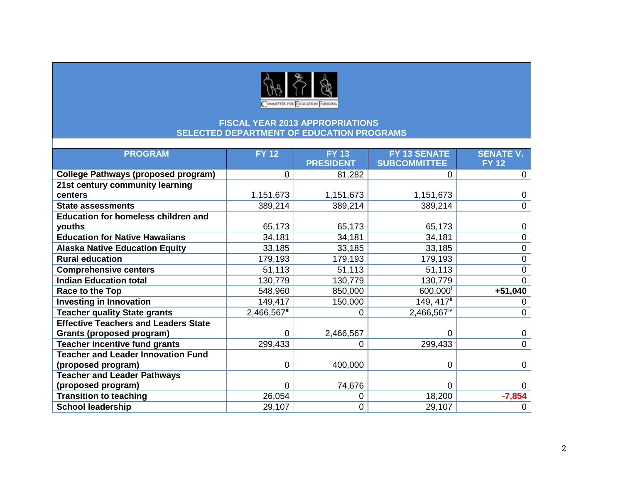

| <b>PROGRAM</b>                              | <b>FY 12</b> | <b>FY 13</b>     | FY 13 SENATE              | <b>SENATE V.</b> |
|---------------------------------------------|--------------|------------------|---------------------------|------------------|
|                                             |              | <b>PRESIDENT</b> | <b>SUBCOMMITTEE</b>       | <b>FY 12</b>     |
| <b>College Pathways (proposed program)</b>  | 0            | 81,282           | 0                         | 0                |
| 21st century community learning             |              |                  |                           |                  |
| centers                                     | 1,151,673    | 1,151,673        | 1,151,673                 | 0                |
| <b>State assessments</b>                    | 389,214      | 389,214          | 389,214                   | $\overline{0}$   |
| <b>Education for homeless children and</b>  |              |                  |                           |                  |
| youths                                      | 65,173       | 65,173           | 65,173                    | 0                |
| <b>Education for Native Hawaiians</b>       | 34,181       | 34,181           | 34,181                    | $\overline{0}$   |
| <b>Alaska Native Education Equity</b>       | 33,185       | 33,185           | 33,185                    | 0                |
| <b>Rural education</b>                      | 179,193      | 179,193          | 179,193                   | 0                |
| <b>Comprehensive centers</b>                | 51,113       | 51,113           | 51,113                    | 0                |
| <b>Indian Education total</b>               | 130,779      | 130,779          | 130,779                   | 0                |
| Race to the Top                             | 548,960      | 850,000          | 600,000                   | $+51,040$        |
| <b>Investing in Innovation</b>              | 149,417      | 150,000          | 149, 417 <sup>ii</sup>    | 0                |
| <b>Teacher quality State grants</b>         | 2,466,567    | 0                | $2,466,567$ <sup>iv</sup> | 0                |
| <b>Effective Teachers and Leaders State</b> |              |                  |                           |                  |
| Grants (proposed program)                   | 0            | 2,466,567        | 0                         | $\mathbf 0$      |
| <b>Teacher incentive fund grants</b>        | 299,433      | 0                | 299,433                   | $\overline{0}$   |
| <b>Teacher and Leader Innovation Fund</b>   |              |                  |                           |                  |
| (proposed program)                          | 0            | 400,000          | 0                         | 0                |
| <b>Teacher and Leader Pathways</b>          |              |                  |                           |                  |
| (proposed program)                          | 0            | 74,676           | $\Omega$                  | 0                |
| <b>Transition to teaching</b>               | 26,054       | 0                | 18,200                    | $-7,854$         |
| <b>School leadership</b>                    | 29,107       | 0                | 29,107                    | 0                |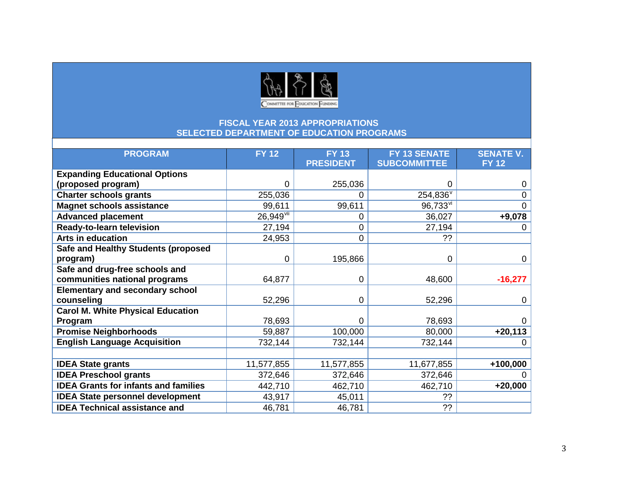

| <b>PROGRAM</b>                              | <b>FY 12</b>            | <b>FY 13</b>     | FY 13 SENATE                                  | <b>SENATE V.</b> |
|---------------------------------------------|-------------------------|------------------|-----------------------------------------------|------------------|
|                                             |                         | <b>PRESIDENT</b> | <b>SUBCOMMITTEE</b>                           | <b>FY 12</b>     |
| <b>Expanding Educational Options</b>        |                         |                  |                                               |                  |
| (proposed program)                          | 0                       | 255,036          | 0                                             | 0                |
| <b>Charter schools grants</b>               | 255,036                 | 0                | $254,836^{\overline{v}}$                      | 0                |
| <b>Magnet schools assistance</b>            | 99,611                  | 99,611           | $96,733$ <sup><math>\overline{v}</math></sup> | 0                |
| <b>Advanced placement</b>                   | $26,949$ <sup>vii</sup> | 0                | 36,027                                        | $+9,078$         |
| <b>Ready-to-learn television</b>            | 27,194                  | 0                | 27,194                                        | 0                |
| <b>Arts in education</b>                    | 24,953                  | 0                | ??                                            |                  |
| <b>Safe and Healthy Students (proposed</b>  |                         |                  |                                               |                  |
| program)                                    | 0                       | 195,866          | 0                                             | $\mathbf 0$      |
| Safe and drug-free schools and              |                         |                  |                                               |                  |
| communities national programs               | 64,877                  | 0                | 48,600                                        | $-16,277$        |
| <b>Elementary and secondary school</b>      |                         |                  |                                               |                  |
| counseling                                  | 52,296                  | 0                | 52,296                                        | $\Omega$         |
| <b>Carol M. White Physical Education</b>    |                         |                  |                                               |                  |
| Program                                     | 78,693                  | 0                | 78,693                                        | 0                |
| <b>Promise Neighborhoods</b>                | 59,887                  | 100,000          | 80,000                                        | $+20,113$        |
| <b>English Language Acquisition</b>         | 732,144                 | 732,144          | 732,144                                       | 0                |
|                                             |                         |                  |                                               |                  |
| <b>IDEA State grants</b>                    | 11,577,855              | 11,577,855       | 11,677,855                                    | $+100,000$       |
| <b>IDEA Preschool grants</b>                | 372,646                 | 372,646          | 372,646                                       |                  |
| <b>IDEA Grants for infants and families</b> | 442,710                 | 462,710          | 462,710                                       | $+20,000$        |
| <b>IDEA State personnel development</b>     | 43,917                  | 45,011           | ??                                            |                  |
| <b>IDEA Technical assistance and</b>        | 46,781                  | 46,781           | ??                                            |                  |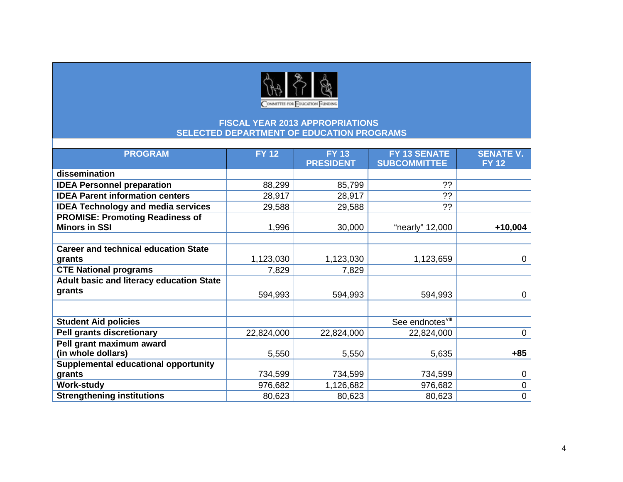

| <b>PROGRAM</b>                              | <b>FY 12</b> | <b>FY 13</b>     | FY 13 SENATE                 | <b>SENATE V.</b> |
|---------------------------------------------|--------------|------------------|------------------------------|------------------|
|                                             |              | <b>PRESIDENT</b> | <b>SUBCOMMITTEE</b>          | <b>FY 12</b>     |
| dissemination                               |              |                  |                              |                  |
| <b>IDEA Personnel preparation</b>           | 88,299       | 85,799           | ??                           |                  |
| <b>IDEA Parent information centers</b>      | 28,917       | 28,917           | ??                           |                  |
| <b>IDEA Technology and media services</b>   | 29,588       | 29,588           | ??                           |                  |
| <b>PROMISE: Promoting Readiness of</b>      |              |                  |                              |                  |
| <b>Minors in SSI</b>                        | 1,996        | 30,000           | "nearly" 12,000              | $+10,004$        |
|                                             |              |                  |                              |                  |
| <b>Career and technical education State</b> |              |                  |                              |                  |
| grants                                      | 1,123,030    | 1,123,030        | 1,123,659                    | $\mathbf 0$      |
| <b>CTE National programs</b>                | 7,829        | 7,829            |                              |                  |
| Adult basic and literacy education State    |              |                  |                              |                  |
| grants                                      | 594,993      | 594,993          | 594,993                      | $\mathbf{0}$     |
|                                             |              |                  |                              |                  |
| <b>Student Aid policies</b>                 |              |                  | See endnotes <sup>viii</sup> |                  |
| <b>Pell grants discretionary</b>            | 22,824,000   | 22,824,000       | 22,824,000                   | $\mathbf 0$      |
| Pell grant maximum award                    |              |                  |                              |                  |
| (in whole dollars)                          | 5,550        | 5,550            | 5,635                        | $+85$            |
| Supplemental educational opportunity        |              |                  |                              |                  |
| grants                                      | 734,599      | 734,599          | 734,599                      | 0                |
| <b>Work-study</b>                           | 976,682      | 1,126,682        | 976,682                      | $\pmb{0}$        |
| <b>Strengthening institutions</b>           | 80,623       | 80,623           | 80,623                       | $\mathbf 0$      |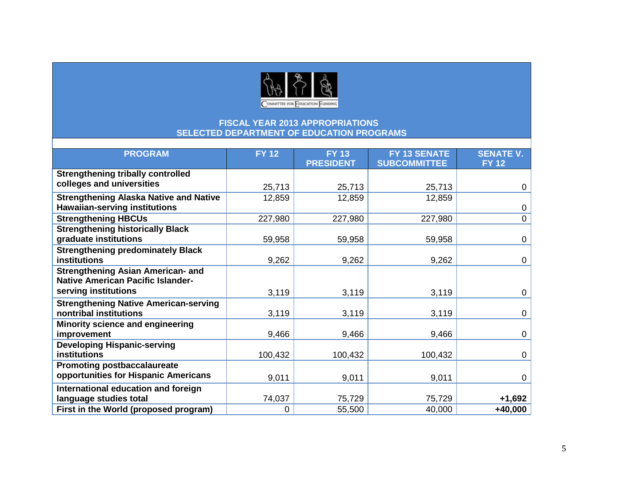

| <b>PROGRAM</b>                                | <b>FY 12</b> | <b>FY 13</b>     | FY 13 SENATE        | <b>SENATE V.</b> |
|-----------------------------------------------|--------------|------------------|---------------------|------------------|
|                                               |              | <b>PRESIDENT</b> | <b>SUBCOMMITTEE</b> | <b>FY 12</b>     |
| <b>Strengthening tribally controlled</b>      |              |                  |                     |                  |
| colleges and universities                     |              |                  |                     |                  |
|                                               | 25,713       | 25,713           | 25,713              | $\mathbf 0$      |
| <b>Strengthening Alaska Native and Native</b> | 12,859       | 12,859           | 12,859              |                  |
| <b>Hawaiian-serving institutions</b>          |              |                  |                     | $\mathbf 0$      |
| <b>Strengthening HBCUs</b>                    | 227,980      | 227,980          | 227,980             | $\mathbf 0$      |
| <b>Strengthening historically Black</b>       |              |                  |                     |                  |
| graduate institutions                         | 59,958       | 59,958           | 59,958              | $\mathbf 0$      |
| <b>Strengthening predominately Black</b>      |              |                  |                     |                  |
| institutions                                  | 9,262        | 9,262            | 9,262               | $\mathbf 0$      |
| <b>Strengthening Asian American- and</b>      |              |                  |                     |                  |
| <b>Native American Pacific Islander-</b>      |              |                  |                     |                  |
| serving institutions                          | 3,119        | 3,119            | 3,119               | $\mathbf 0$      |
| <b>Strengthening Native American-serving</b>  |              |                  |                     |                  |
| nontribal institutions                        | 3,119        | 3,119            | 3,119               | $\mathbf 0$      |
| Minority science and engineering              |              |                  |                     |                  |
| improvement                                   | 9,466        | 9,466            | 9,466               | 0                |
| <b>Developing Hispanic-serving</b>            |              |                  |                     |                  |
| institutions                                  | 100,432      | 100,432          | 100,432             | 0                |
| <b>Promoting postbaccalaureate</b>            |              |                  |                     |                  |
| opportunities for Hispanic Americans          | 9,011        | 9,011            | 9,011               | 0                |
| International education and foreign           |              |                  |                     |                  |
| language studies total                        | 74,037       | 75,729           | 75,729              | $+1,692$         |
| First in the World (proposed program)         | 0            | 55,500           | 40,000              | $+40,000$        |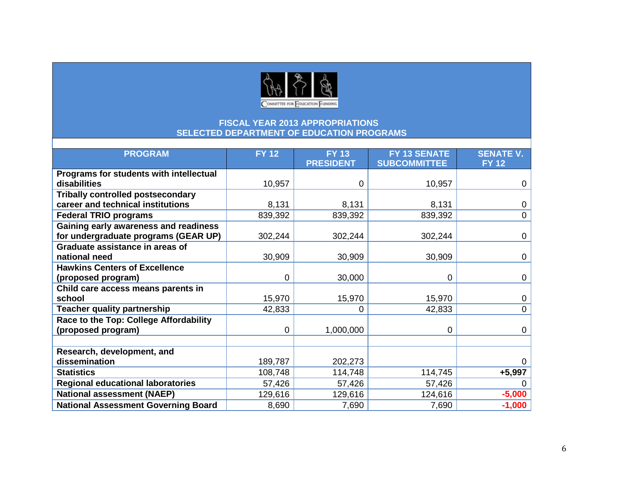

| <b>PROGRAM</b>                             | <b>FY 12</b> | <b>FY 13</b>     | FY 13 SENATE        | <b>SENATE V.</b> |
|--------------------------------------------|--------------|------------------|---------------------|------------------|
|                                            |              | <b>PRESIDENT</b> | <b>SUBCOMMITTEE</b> | <b>FY 12</b>     |
| Programs for students with intellectual    |              |                  |                     |                  |
| disabilities                               | 10,957       | 0                | 10,957              | $\mathbf 0$      |
| <b>Tribally controlled postsecondary</b>   |              |                  |                     |                  |
| career and technical institutions          | 8,131        | 8,131            | 8,131               | $\mathbf 0$      |
| <b>Federal TRIO programs</b>               | 839,392      | 839,392          | 839,392             | $\overline{0}$   |
| Gaining early awareness and readiness      |              |                  |                     |                  |
| for undergraduate programs (GEAR UP)       | 302,244      | 302,244          | 302,244             | $\mathbf 0$      |
| Graduate assistance in areas of            |              |                  |                     |                  |
| national need                              | 30,909       | 30,909           | 30,909              | $\mathbf{0}$     |
| <b>Hawkins Centers of Excellence</b>       |              |                  |                     |                  |
| (proposed program)                         | 0            | 30,000           | 0                   | $\mathbf{0}$     |
| Child care access means parents in         |              |                  |                     |                  |
| school                                     | 15,970       | 15,970           | 15,970              | 0                |
| <b>Teacher quality partnership</b>         | 42,833       | 0                | 42,833              | 0                |
| Race to the Top: College Affordability     |              |                  |                     |                  |
| (proposed program)                         | 0            | 1,000,000        | 0                   | 0                |
|                                            |              |                  |                     |                  |
| Research, development, and                 |              |                  |                     |                  |
| dissemination                              | 189,787      | 202,273          |                     |                  |
| <b>Statistics</b>                          | 108,748      | 114,748          | 114,745             | $+5,997$         |
| <b>Regional educational laboratories</b>   | 57,426       | 57,426           | 57,426              |                  |
| <b>National assessment (NAEP)</b>          | 129,616      | 129,616          | 124,616             | $-5,000$         |
| <b>National Assessment Governing Board</b> | 8,690        | 7,690            | 7,690               | $-1,000$         |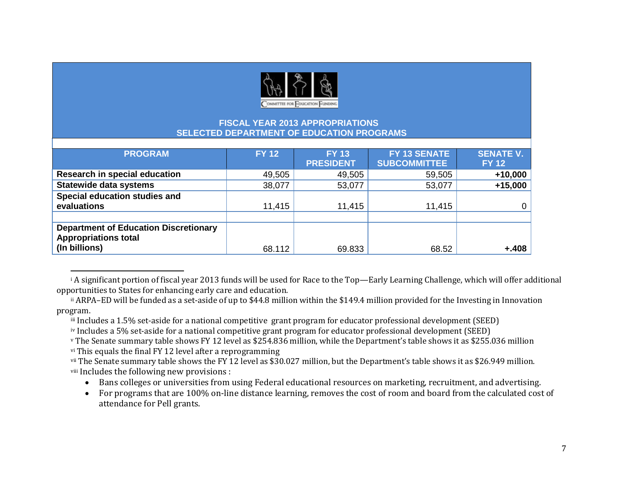<span id="page-6-7"></span><span id="page-6-6"></span><span id="page-6-5"></span><span id="page-6-4"></span><span id="page-6-3"></span><span id="page-6-2"></span><span id="page-6-1"></span><span id="page-6-0"></span>

| <b>PROGRAM</b>                               | <b>FY 12</b> | <b>FY 13</b>     | FY 13 SENATE        | <b>SENATE V.</b> |
|----------------------------------------------|--------------|------------------|---------------------|------------------|
|                                              |              | <b>PRESIDENT</b> | <b>SUBCOMMITTEE</b> | <b>FY 12</b>     |
| <b>Research in special education</b>         | 49,505       | 49,505           | 59,505              | $+10,000$        |
| <b>Statewide data systems</b>                | 38,077       | 53,077           | 53,077              | $+15,000$        |
| Special education studies and                |              |                  |                     |                  |
| evaluations                                  | 11,415       | 11,415           | 11,415              | 0                |
|                                              |              |                  |                     |                  |
| <b>Department of Education Discretionary</b> |              |                  |                     |                  |
| <b>Appropriations total</b>                  |              |                  |                     |                  |
| (In billions)                                | 68.112       | 69.833           | 68.52               | $+.408$          |

 i A significant portion of fiscal year 2013 funds will be used for Race to the Top—Early Learning Challenge, which will offer additional opportunities to States for enhancing early care and education.

ii ARPA–ED will be funded as a set-aside of up to \$44.8 million within the \$149.4 million provided for the Investing in Innovation program.

iii Includes a 1.5% set-aside for a national competitive grant program for educator professional development (SEED)

iv Includes a 5% set-aside for a national competitive grant program for educator professional development (SEED)

<sup>v</sup> The Senate summary table shows FY 12 level as \$254.836 million, while the Department's table shows it as \$255.036 million vi This equals the final FY 12 level after a reprogramming

vii The Senate summary table shows the FY 12 level as \$30.027 million, but the Department's table shows it as \$26.949 million. viii Includes the following new provisions :

- Bans colleges or universities from using Federal educational resources on marketing, recruitment, and advertising.
- For programs that are 100% on-line distance learning, removes the cost of room and board from the calculated cost of attendance for Pell grants.